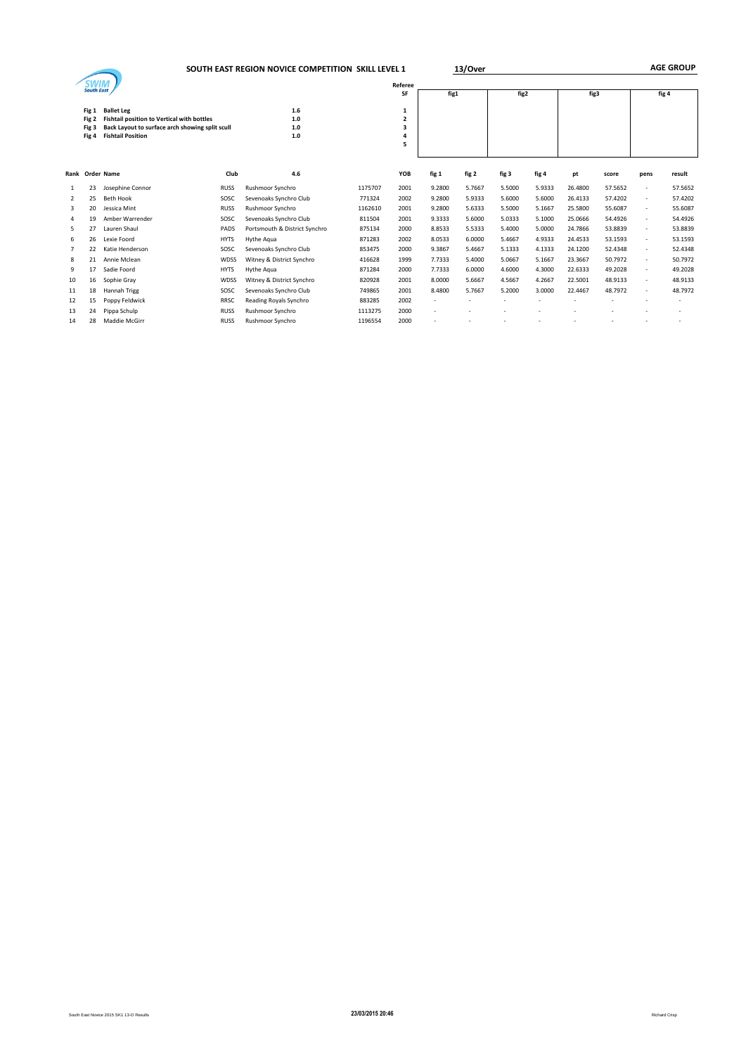|                |                                  | SOUTH EAST REGION NOVICE COMPETITION SKILL LEVEL 1                                                                                             |             |                               | 13/Over | <b>AGE GROUP</b>      |        |        |        |        |         |         |       |         |
|----------------|----------------------------------|------------------------------------------------------------------------------------------------------------------------------------------------|-------------|-------------------------------|---------|-----------------------|--------|--------|--------|--------|---------|---------|-------|---------|
|                | <b>South East</b>                |                                                                                                                                                |             |                               |         | Referee<br>SF         | fig1   |        | fig2   |        | fig3    |         | fig 4 |         |
|                | Fig 1<br>Fig 2<br>Fig 3<br>Fig 4 | <b>Ballet Leg</b><br>Fishtail position to Vertical with bottles<br>Back Layout to surface arch showing split scull<br><b>Fishtail Position</b> |             | 1.6<br>1.0<br>1.0<br>1.0      |         | 1<br>2<br>3<br>4<br>5 |        |        |        |        |         |         |       |         |
|                |                                  | Rank Order Name                                                                                                                                | Club        | 4.6                           |         | YOB                   | fig 1  | fig 2  | fig 3  | fig 4  | pt      | score   | pens  | result  |
| 1              | 23                               | Josephine Connor                                                                                                                               | <b>RUSS</b> | Rushmoor Synchro              | 1175707 | 2001                  | 9.2800 | 5.7667 | 5.5000 | 5.9333 | 26,4800 | 57.5652 | ٠     | 57.5652 |
| 2              | 25                               | <b>Beth Hook</b>                                                                                                                               | SOSC        | Sevenoaks Synchro Club        | 771324  | 2002                  | 9.2800 | 5.9333 | 5.6000 | 5.6000 | 26.4133 | 57.4202 |       | 57.4202 |
| 3              | 20                               | Jessica Mint                                                                                                                                   | <b>RUSS</b> | Rushmoor Synchro              | 1162610 | 2001                  | 9.2800 | 5.6333 | 5.5000 | 5.1667 | 25,5800 | 55.6087 | ٠     | 55.6087 |
| $\overline{4}$ | 19                               | Amber Warrender                                                                                                                                | SOSC        | Sevenoaks Synchro Club        | 811504  | 2001                  | 9.3333 | 5.6000 | 5.0333 | 5.1000 | 25.0666 | 54.4926 | ٠     | 54.4926 |
| 5              | 27                               | Lauren Shaul                                                                                                                                   | PADS        | Portsmouth & District Synchro | 875134  | 2000                  | 8.8533 | 5.5333 | 5.4000 | 5.0000 | 24.7866 | 53.8839 | ٠     | 53.8839 |
| 6              | 26                               | Lexie Foord                                                                                                                                    | <b>HYTS</b> | Hythe Agua                    | 871283  | 2002                  | 8.0533 | 6.0000 | 5.4667 | 4.9333 | 24.4533 | 53.1593 | ٠     | 53.1593 |
| 7              | 22                               | Katie Henderson                                                                                                                                | SOSC        | Sevenoaks Synchro Club        | 853475  | 2000                  | 9.3867 | 5.4667 | 5.1333 | 4.1333 | 24.1200 | 52.4348 |       | 52.4348 |
| 8              | 21                               | Annie Mclean                                                                                                                                   | WDSS        | Witney & District Synchro     | 416628  | 1999                  | 7.7333 | 5.4000 | 5.0667 | 5.1667 | 23.3667 | 50.7972 | ٠     | 50.7972 |
| 9              | 17                               | Sadie Foord                                                                                                                                    | <b>HYTS</b> | Hythe Agua                    | 871284  | 2000                  | 7.7333 | 6.0000 | 4.6000 | 4.3000 | 22.6333 | 49.2028 | ٠     | 49.2028 |
| 10             | 16                               | Sophie Gray                                                                                                                                    | WDSS        | Witney & District Synchro     | 820928  | 2001                  | 8.0000 | 5.6667 | 4.5667 | 4.2667 | 22,5001 | 48.9133 |       | 48.9133 |
| 11             | 18                               | Hannah Trigg                                                                                                                                   | SOSC        | Sevenoaks Synchro Club        | 749865  | 2001                  | 8.4800 | 5.7667 | 5.2000 | 3.0000 | 22.4467 | 48.7972 |       | 48.7972 |
| 12             | 15                               | Poppy Feldwick                                                                                                                                 | RRSC        | Reading Royals Synchro        | 883285  | 2002                  |        |        |        |        |         |         |       |         |
| 13             | 24                               | Pippa Schulp                                                                                                                                   | <b>RUSS</b> | Rushmoor Synchro              | 1113275 | 2000                  | ٠      |        |        |        |         |         |       |         |
| 14             | 28                               | Maddie McGirr                                                                                                                                  | <b>RUSS</b> | Rushmoor Synchro              | 1196554 | 2000                  |        |        |        |        |         |         |       |         |